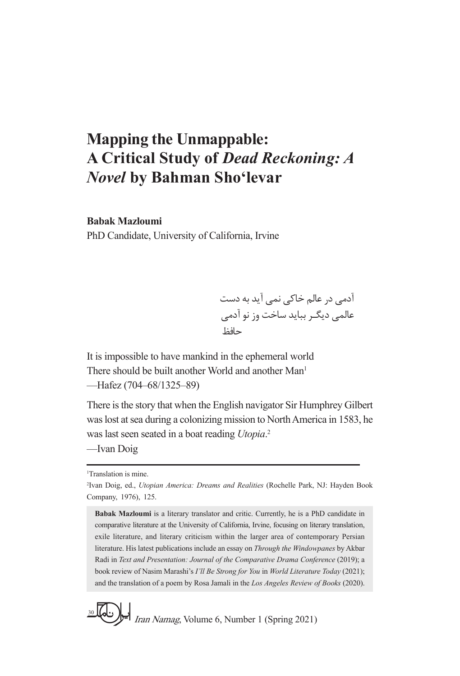## **Mapping the Unmappable: A Critical Study of** *Dead Reckoning: A Novel* **by Bahman Sho'levar**

## **Babak Mazloumi**

PhD Candidate, University of California, Irvine

آدمی در عالم خاکی نمی آید به دست عالمی دیگـر بباید ساخت وز نو آدمی حافظ

It is impossible to have mankind in the ephemeral world There should be built another World and another Man<sup>1</sup> —Hafez (704–68/1325–89)

There is the story that when the English navigator Sir Humphrey Gilbert was lost at sea during a colonizing mission to North America in 1583, he was last seen seated in a boat reading *Utopia*. 2 —Ivan Doig

1 Translation is mine.

**Babak Mazloumi** is a literary translator and critic. Currently, he is a PhD candidate in comparative literature at the University of California, Irvine, focusing on literary translation, exile literature, and literary criticism within the larger area of contemporary Persian literature. His latest publications include an essay on *Through the Windowpanes* by Akbar Radi in *Text and Presentation: Journal of the Comparative Drama Conference* (2019); a book review of Nasim Marashi's *I'll Be Strong for You* in *World Literature Today* (2021); and the translation of a poem by Rosa Jamali in the *Los Angeles Review of Books* (2020).



<sup>2</sup> Ivan Doig, ed., *Utopian America: Dreams and Realities* (Rochelle Park, NJ: Hayden Book Company, 1976), 125.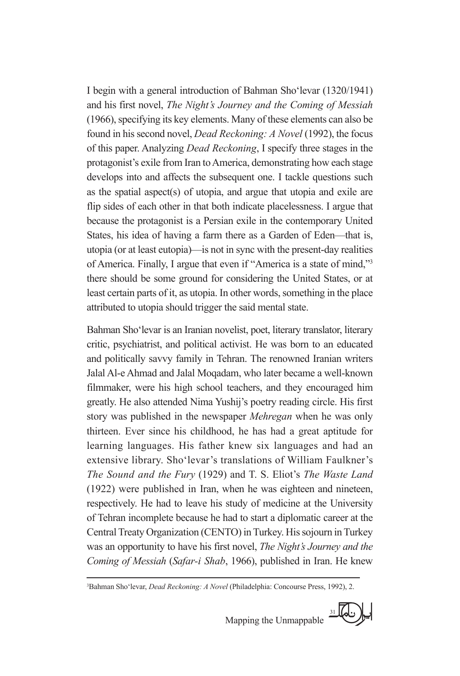I begin with a general introduction of Bahman Sho'levar (1320/1941) and his first novel, *The Night's Journey and the Coming of Messiah* (1966), specifying its key elements. Many of these elements can also be found in his second novel, *Dead Reckoning: A Novel* (1992), the focus of this paper. Analyzing *Dead Reckoning*, I specify three stages in the protagonist's exile from Iran to America, demonstrating how each stage develops into and affects the subsequent one. I tackle questions such as the spatial aspect(s) of utopia, and argue that utopia and exile are flip sides of each other in that both indicate placelessness. I argue that because the protagonist is a Persian exile in the contemporary United States, his idea of having a farm there as a Garden of Eden—that is, utopia (or at least eutopia)—is not in sync with the present-day realities of America. Finally, I argue that even if "America is a state of mind,"3 there should be some ground for considering the United States, or at least certain parts of it, as utopia. In other words, something in the place attributed to utopia should trigger the said mental state.

Bahman Sho'levar is an Iranian novelist, poet, literary translator, literary critic, psychiatrist, and political activist. He was born to an educated and politically savvy family in Tehran. The renowned Iranian writers Jalal Al-e Ahmad and Jalal Moqadam, who later became a well-known filmmaker, were his high school teachers, and they encouraged him greatly. He also attended Nima Yushij's poetry reading circle. His first story was published in the newspaper *Mehregan* when he was only thirteen. Ever since his childhood, he has had a great aptitude for learning languages. His father knew six languages and had an extensive library. Sho'levar's translations of William Faulkner's *The Sound and the Fury* (1929) and T. S. Eliot's *The Waste Land* (1922) were published in Iran, when he was eighteen and nineteen, respectively. He had to leave his study of medicine at the University of Tehran incomplete because he had to start a diplomatic career at the Central Treaty Organization (CENTO) in Turkey. His sojourn in Turkey was an opportunity to have his first novel, *The Night's Journey and the Coming of Messiah* (*Safar-i Shab*, 1966), published in Iran. He knew

<sup>3</sup> Bahman Sho'levar, *Dead Reckoning: A Novel* (Philadelphia: Concourse Press, 1992), 2.

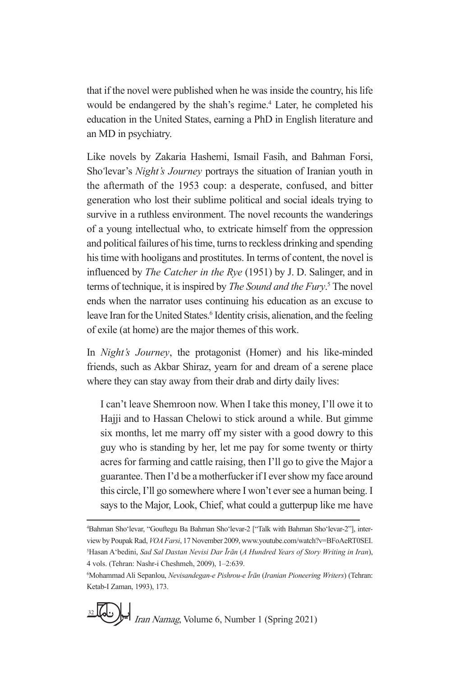that if the novel were published when he was inside the country, his life would be endangered by the shah's regime.<sup>4</sup> Later, he completed his education in the United States, earning a PhD in English literature and an MD in psychiatry.

Like novels by Zakaria Hashemi, Ismail Fasih, and Bahman Forsi, Sho*ʻ*levar's *Night's Journey* portrays the situation of Iranian youth in the aftermath of the 1953 coup: a desperate, confused, and bitter generation who lost their sublime political and social ideals trying to survive in a ruthless environment. The novel recounts the wanderings of a young intellectual who, to extricate himself from the oppression and political failures of his time, turns to reckless drinking and spending his time with hooligans and prostitutes. In terms of content, the novel is influenced by *The Catcher in the Rye* (1951) by J. D. Salinger, and in terms of technique, it is inspired by *The Sound and the Fury*. 5 The novel ends when the narrator uses continuing his education as an excuse to leave Iran for the United States.<sup>6</sup> Identity crisis, alienation, and the feeling of exile (at home) are the major themes of this work.

In *Night's Journey*, the protagonist (Homer) and his like-minded friends, such as Akbar Shiraz, yearn for and dream of a serene place where they can stay away from their drab and dirty daily lives:

I can't leave Shemroon now. When I take this money, I'll owe it to Hajji and to Hassan Chelowi to stick around a while. But gimme six months, let me marry off my sister with a good dowry to this guy who is standing by her, let me pay for some twenty or thirty acres for farming and cattle raising, then I'll go to give the Major a guarantee. Then I'd be a motherfucker if I ever show my face around this circle, I'll go somewhere where I won't ever see a human being. I says to the Major, Look, Chief, what could a gutterpup like me have

<sup>6</sup> Mohammad Ali Sepanlou, *Nevisandegan-e Pishrou-e Īrān* (*Iranian Pioneering Writers*) (Tehran: Ketab-I Zaman, 1993), 173.



<sup>4</sup> Bahman Sho'levar, "Gouftegu Ba Bahman Sho'levar-2 ["Talk with Bahman Sho'levar-2"], interview by Poupak Rad, *VOA Farsi*, 17 November 2009, www.youtube.com/watch?v=BFoAeRT0SEI. 5 Hasan A'bedini, *Sad Sal Dastan Nevisi Dar Īrān* (*A Hundred Years of Story Writing in Iran*), 4 vols. (Tehran: Nashr-i Cheshmeh, 2009), 1–2:639.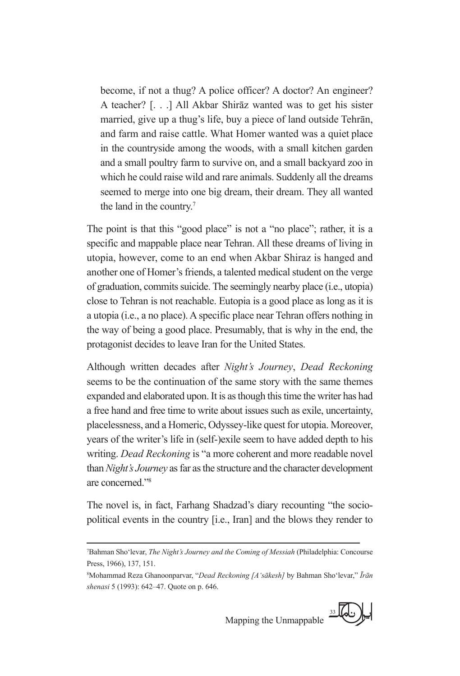become, if not a thug? A police officer? A doctor? An engineer? A teacher? [. . .] All Akbar Shirāz wanted was to get his sister married, give up a thug's life, buy a piece of land outside Tehrān, and farm and raise cattle. What Homer wanted was a quiet place in the countryside among the woods, with a small kitchen garden and a small poultry farm to survive on, and a small backyard zoo in which he could raise wild and rare animals. Suddenly all the dreams seemed to merge into one big dream, their dream. They all wanted the land in the country.7

The point is that this "good place" is not a "no place"; rather, it is a specific and mappable place near Tehran. All these dreams of living in utopia, however, come to an end when Akbar Shiraz is hanged and another one of Homer's friends, a talented medical student on the verge of graduation, commits suicide. The seemingly nearby place (i.e., utopia) close to Tehran is not reachable. Eutopia is a good place as long as it is a utopia (i.e., a no place). A specific place near Tehran offers nothing in the way of being a good place. Presumably, that is why in the end, the protagonist decides to leave Iran for the United States.

Although written decades after *Night's Journey*, *Dead Reckoning* seems to be the continuation of the same story with the same themes expanded and elaborated upon. It is as though this time the writer has had a free hand and free time to write about issues such as exile, uncertainty, placelessness, and a Homeric, Odyssey-like quest for utopia. Moreover, years of the writer's life in (self-)exile seem to have added depth to his writing. *Dead Reckoning* is "a more coherent and more readable novel than *Night's Journey* as far as the structure and the character development are concerned."8

The novel is, in fact, Farhang Shadzad's diary recounting "the sociopolitical events in the country [i.e., Iran] and the blows they render to

<sup>8</sup> Mohammad Reza Ghanoonparvar, "*Dead Reckoning [A'sākesh]* by Bahman Sho'levar," *Īrān shenasi* 5 (1993): 642–47. Quote on p. 646.



<sup>7</sup> Bahman Sho'levar, *The Night's Journey and the Coming of Messiah* (Philadelphia: Concourse Press, 1966), 137, 151.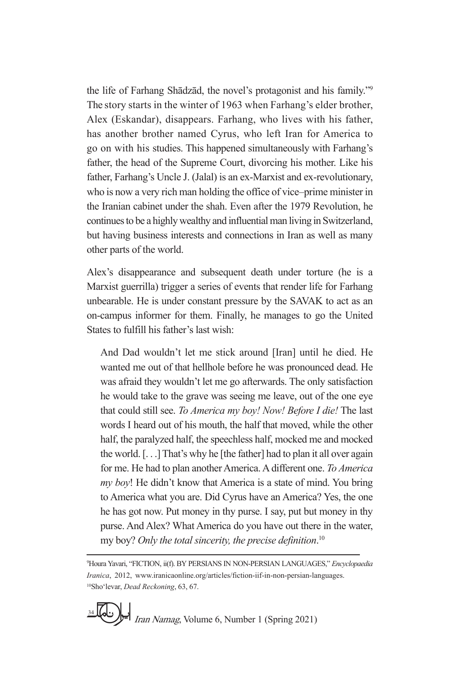the life of Farhang Shādzād, the novel's protagonist and his family."<sup>9</sup> The story starts in the winter of 1963 when Farhang's elder brother, Alex (Eskandar), disappears. Farhang, who lives with his father, has another brother named Cyrus, who left Iran for America to go on with his studies. This happened simultaneously with Farhang's father, the head of the Supreme Court, divorcing his mother. Like his father, Farhang's Uncle J. (Jalal) is an ex-Marxist and ex-revolutionary, who is now a very rich man holding the office of vice–prime minister in the Iranian cabinet under the shah. Even after the 1979 Revolution, he continues to be a highly wealthy and influential man living in Switzerland, but having business interests and connections in Iran as well as many other parts of the world.

Alex's disappearance and subsequent death under torture (he is a Marxist guerrilla) trigger a series of events that render life for Farhang unbearable. He is under constant pressure by the SAVAK to act as an on-campus informer for them. Finally, he manages to go the United States to fulfill his father's last wish:

And Dad wouldn't let me stick around [Iran] until he died. He wanted me out of that hellhole before he was pronounced dead. He was afraid they wouldn't let me go afterwards. The only satisfaction he would take to the grave was seeing me leave, out of the one eye that could still see. *To America my boy! Now! Before I die!* The last words I heard out of his mouth, the half that moved, while the other half, the paralyzed half, the speechless half, mocked me and mocked the world. [. . .] That's why he [the father] had to plan it all over again for me. He had to plan another America. A different one. *To America my boy*! He didn't know that America is a state of mind. You bring to America what you are. Did Cyrus have an America? Yes, the one he has got now. Put money in thy purse. I say, put but money in thy purse. And Alex? What America do you have out there in the water, my boy? *Only the total sincerity, the precise definition*. 10

<sup>9</sup> Houra Yavari, "FICTION, ii(f). BY PERSIANS IN NON-PERSIAN LANGUAGES," *Encyclopaedia Iranica*, 2012, www.iranicaonline.org/articles/fiction-iif-in-non-persian-languages. 10Sho'levar, *Dead Reckoning*, 63, 67.

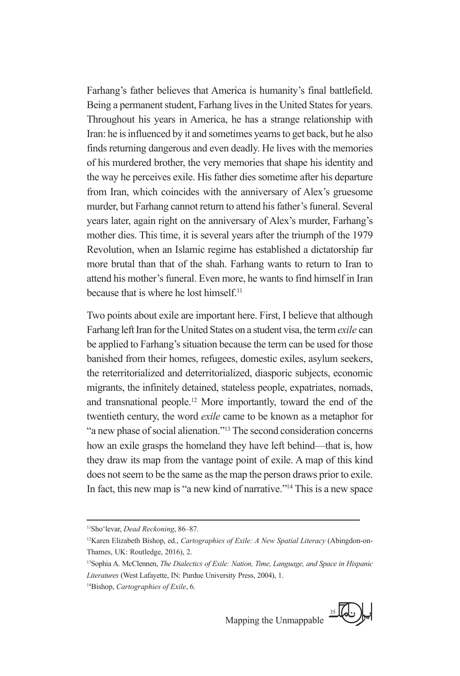Farhang's father believes that America is humanity's final battlefield. Being a permanent student, Farhang lives in the United States for years. Throughout his years in America, he has a strange relationship with Iran: he is influenced by it and sometimes yearns to get back, but he also finds returning dangerous and even deadly. He lives with the memories of his murdered brother, the very memories that shape his identity and the way he perceives exile. His father dies sometime after his departure from Iran, which coincides with the anniversary of Alex's gruesome murder, but Farhang cannot return to attend his father's funeral. Several years later, again right on the anniversary of Alex's murder, Farhang's mother dies. This time, it is several years after the triumph of the 1979 Revolution, when an Islamic regime has established a dictatorship far more brutal than that of the shah. Farhang wants to return to Iran to attend his mother's funeral. Even more, he wants to find himself in Iran because that is where he lost himself.<sup>11</sup>

Two points about exile are important here. First, I believe that although Farhang left Iran for the United States on a student visa, the term *exile* can be applied to Farhang's situation because the term can be used for those banished from their homes, refugees, domestic exiles, asylum seekers, the reterritorialized and deterritorialized, diasporic subjects, economic migrants, the infinitely detained, stateless people, expatriates, nomads, and transnational people.12 More importantly, toward the end of the twentieth century, the word *exile* came to be known as a metaphor for "a new phase of social alienation."13 The second consideration concerns how an exile grasps the homeland they have left behind—that is, how they draw its map from the vantage point of exile. A map of this kind does not seem to be the same as the map the person draws prior to exile. In fact, this new map is "a new kind of narrative."14 This is a new space

<sup>14</sup>Bishop, *Cartographies of Exile*, 6.



<sup>11</sup>Sho'levar, *Dead Reckoning*, 86–87.

<sup>12</sup>Karen Elizabeth Bishop, ed., *Cartographies of Exile: A New Spatial Literacy* (Abingdon-on-Thames, UK: Routledge, 2016), 2.

<sup>13</sup>Sophia A. McClennen, *The Dialectics of Exile: Nation, Time, Language, and Space in Hispanic Literatures* (West Lafayette, IN: Purdue University Press, 2004), 1.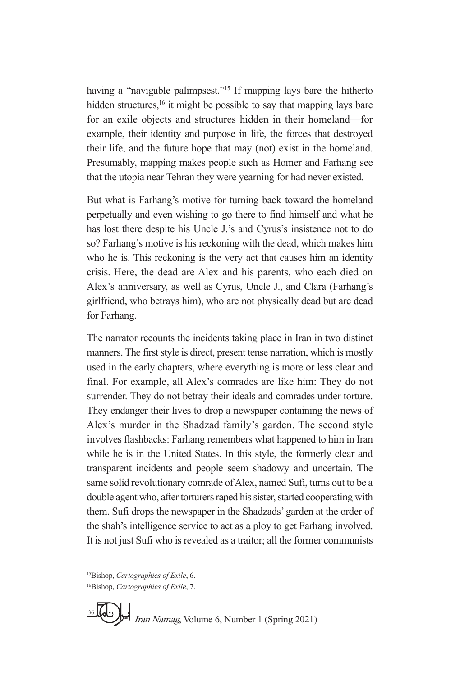having a "navigable palimpsest."<sup>15</sup> If mapping lays bare the hitherto hidden structures,<sup>16</sup> it might be possible to say that mapping lays bare for an exile objects and structures hidden in their homeland—for example, their identity and purpose in life, the forces that destroyed their life, and the future hope that may (not) exist in the homeland. Presumably, mapping makes people such as Homer and Farhang see that the utopia near Tehran they were yearning for had never existed.

But what is Farhang's motive for turning back toward the homeland perpetually and even wishing to go there to find himself and what he has lost there despite his Uncle J.'s and Cyrus's insistence not to do so? Farhang's motive is his reckoning with the dead, which makes him who he is. This reckoning is the very act that causes him an identity crisis. Here, the dead are Alex and his parents, who each died on Alex's anniversary, as well as Cyrus, Uncle J., and Clara (Farhang's girlfriend, who betrays him), who are not physically dead but are dead for Farhang.

The narrator recounts the incidents taking place in Iran in two distinct manners. The first style is direct, present tense narration, which is mostly used in the early chapters, where everything is more or less clear and final. For example, all Alex's comrades are like him: They do not surrender. They do not betray their ideals and comrades under torture. They endanger their lives to drop a newspaper containing the news of Alex's murder in the Shadzad family's garden. The second style involves flashbacks: Farhang remembers what happened to him in Iran while he is in the United States. In this style, the formerly clear and transparent incidents and people seem shadowy and uncertain. The same solid revolutionary comrade of Alex, named Sufi, turns out to be a double agent who, after torturers raped his sister, started cooperating with them. Sufi drops the newspaper in the Shadzads' garden at the order of the shah's intelligence service to act as a ploy to get Farhang involved. It is not just Sufi who is revealed as a traitor; all the former communists

<sup>16</sup>Bishop, *Cartographies of Exile*, 7.



<sup>15</sup>Bishop, *Cartographies of Exile*, 6.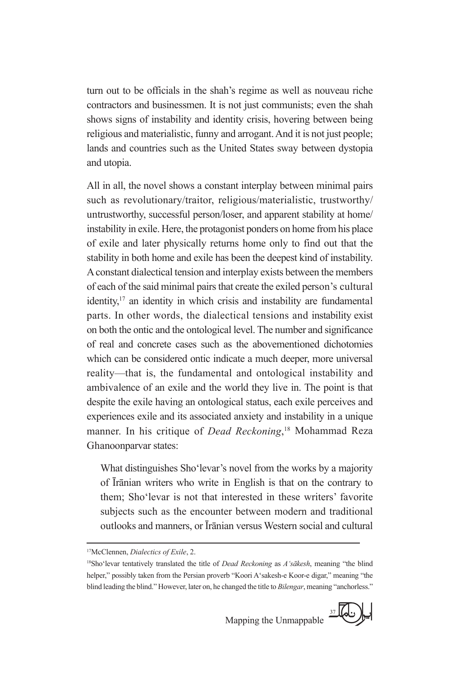turn out to be officials in the shah's regime as well as nouveau riche contractors and businessmen. It is not just communists; even the shah shows signs of instability and identity crisis, hovering between being religious and materialistic, funny and arrogant. And it is not just people; lands and countries such as the United States sway between dystopia and utopia.

All in all, the novel shows a constant interplay between minimal pairs such as revolutionary/traitor, religious/materialistic, trustworthy/ untrustworthy, successful person/loser, and apparent stability at home/ instability in exile. Here, the protagonist ponders on home from his place of exile and later physically returns home only to find out that the stability in both home and exile has been the deepest kind of instability. A constant dialectical tension and interplay exists between the members of each of the said minimal pairs that create the exiled person's cultural identity, $17$  an identity in which crisis and instability are fundamental parts. In other words, the dialectical tensions and instability exist on both the ontic and the ontological level. The number and significance of real and concrete cases such as the abovementioned dichotomies which can be considered ontic indicate a much deeper, more universal reality—that is, the fundamental and ontological instability and ambivalence of an exile and the world they live in. The point is that despite the exile having an ontological status, each exile perceives and experiences exile and its associated anxiety and instability in a unique manner. In his critique of *Dead Reckoning*, 18 Mohammad Reza Ghanoonparvar states:

What distinguishes Sho'levar's novel from the works by a majority of Īrānian writers who write in English is that on the contrary to them; Sho'levar is not that interested in these writers' favorite subjects such as the encounter between modern and traditional outlooks and manners, or Īrānian versus Western social and cultural

Mapping the Unmappable



<sup>17</sup>McClennen, *Dialectics of Exile*, 2.

<sup>18</sup>Sho'levar tentatively translated the title of *Dead Reckoning* as *A'sākesh*, meaning "the blind helper," possibly taken from the Persian proverb "Koori A'sakesh-e Koor-e digar," meaning "the blind leading the blind." However, later on, he changed the title to *Bilengar*, meaning "anchorless."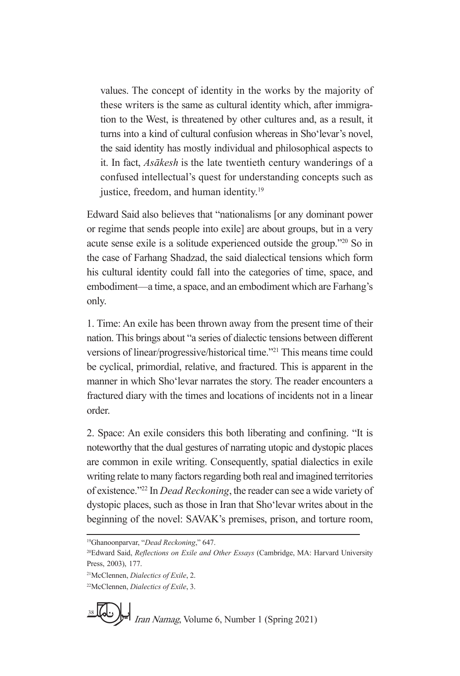values. The concept of identity in the works by the majority of these writers is the same as cultural identity which, after immigration to the West, is threatened by other cultures and, as a result, it turns into a kind of cultural confusion whereas in Sho'levar's novel, the said identity has mostly individual and philosophical aspects to it. In fact, *Asākesh* is the late twentieth century wanderings of a confused intellectual's quest for understanding concepts such as justice, freedom, and human identity.<sup>19</sup>

Edward Said also believes that "nationalisms [or any dominant power or regime that sends people into exile] are about groups, but in a very acute sense exile is a solitude experienced outside the group."20 So in the case of Farhang Shadzad, the said dialectical tensions which form his cultural identity could fall into the categories of time, space, and embodiment—a time, a space, and an embodiment which are Farhang's only.

1. Time: An exile has been thrown away from the present time of their nation. This brings about "a series of dialectic tensions between different versions of linear/progressive/historical time."21 This means time could be cyclical, primordial, relative, and fractured. This is apparent in the manner in which Sho'levar narrates the story. The reader encounters a fractured diary with the times and locations of incidents not in a linear order.

2. Space: An exile considers this both liberating and confining. "It is noteworthy that the dual gestures of narrating utopic and dystopic places are common in exile writing. Consequently, spatial dialectics in exile writing relate to many factors regarding both real and imagined territories of existence."22 In *Dead Reckoning*, the reader can see a wide variety of dystopic places, such as those in Iran that Sho'levar writes about in the beginning of the novel: SAVAK's premises, prison, and torture room,

19Ghanoonparvar, "*Dead Reckoning*," 647.

<sup>22</sup>McClennen, *Dialectics of Exile*, 3.



<sup>20</sup>Edward Said, *Reflections on Exile and Other Essays* (Cambridge, MA: Harvard University Press, 2003), 177.

<sup>21</sup>McClennen, *Dialectics of Exile*, 2.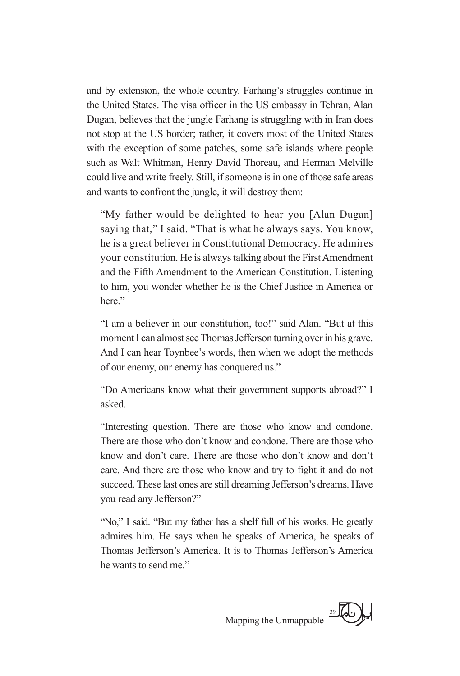and by extension, the whole country. Farhang's struggles continue in the United States. The visa officer in the US embassy in Tehran, Alan Dugan, believes that the jungle Farhang is struggling with in Iran does not stop at the US border; rather, it covers most of the United States with the exception of some patches, some safe islands where people such as Walt Whitman, Henry David Thoreau, and Herman Melville could live and write freely. Still, if someone is in one of those safe areas and wants to confront the jungle, it will destroy them:

"My father would be delighted to hear you [Alan Dugan] saying that," I said. "That is what he always says. You know, he is a great believer in Constitutional Democracy. He admires your constitution. He is always talking about the First Amendment and the Fifth Amendment to the American Constitution. Listening to him, you wonder whether he is the Chief Justice in America or here."

"I am a believer in our constitution, too!" said Alan. "But at this moment I can almost see Thomas Jefferson turning over in his grave. And I can hear Toynbee's words, then when we adopt the methods of our enemy, our enemy has conquered us."

"Do Americans know what their government supports abroad?" I asked.

"Interesting question. There are those who know and condone. There are those who don't know and condone. There are those who know and don't care. There are those who don't know and don't care. And there are those who know and try to fight it and do not succeed. These last ones are still dreaming Jefferson's dreams. Have you read any Jefferson?"

"No," I said. "But my father has a shelf full of his works. He greatly admires him. He says when he speaks of America, he speaks of Thomas Jefferson's America. It is to Thomas Jefferson's America he wants to send me."

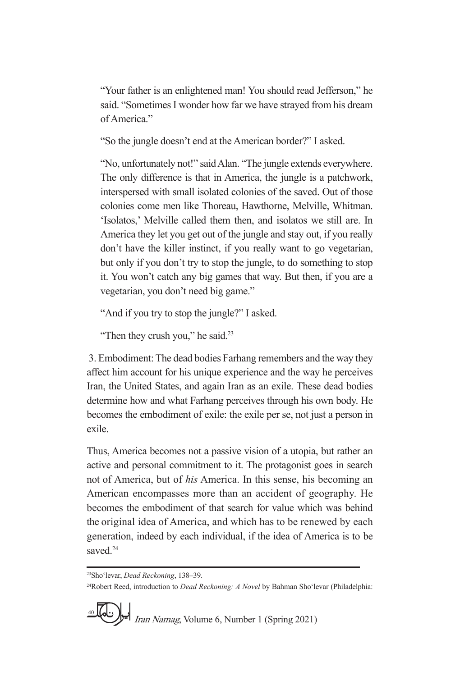"Your father is an enlightened man! You should read Jefferson," he said. "Sometimes I wonder how far we have strayed from his dream of America."

"So the jungle doesn't end at the American border?" I asked.

"No, unfortunately not!" said Alan. "The jungle extends everywhere. The only difference is that in America, the jungle is a patchwork, interspersed with small isolated colonies of the saved. Out of those colonies come men like Thoreau, Hawthorne, Melville, Whitman. 'Isolatos,' Melville called them then, and isolatos we still are. In America they let you get out of the jungle and stay out, if you really don't have the killer instinct, if you really want to go vegetarian, but only if you don't try to stop the jungle, to do something to stop it. You won't catch any big games that way. But then, if you are a vegetarian, you don't need big game."

"And if you try to stop the jungle?" I asked.

"Then they crush you," he said.<sup>23</sup>

 3. Embodiment: The dead bodies Farhang remembers and the way they affect him account for his unique experience and the way he perceives Iran, the United States, and again Iran as an exile. These dead bodies determine how and what Farhang perceives through his own body. He becomes the embodiment of exile: the exile per se, not just a person in exile.

Thus, America becomes not a passive vision of a utopia, but rather an active and personal commitment to it. The protagonist goes in search not of America, but of *his* America. In this sense, his becoming an American encompasses more than an accident of geography. He becomes the embodiment of that search for value which was behind the original idea of America, and which has to be renewed by each generation, indeed by each individual, if the idea of America is to be saved.<sup>24</sup>

<sup>24</sup>Robert Reed, introduction to *Dead Reckoning: A Novel* by Bahman Sho'levar (Philadelphia:



<sup>23</sup>Sho'levar, *Dead Reckoning*, 138–39.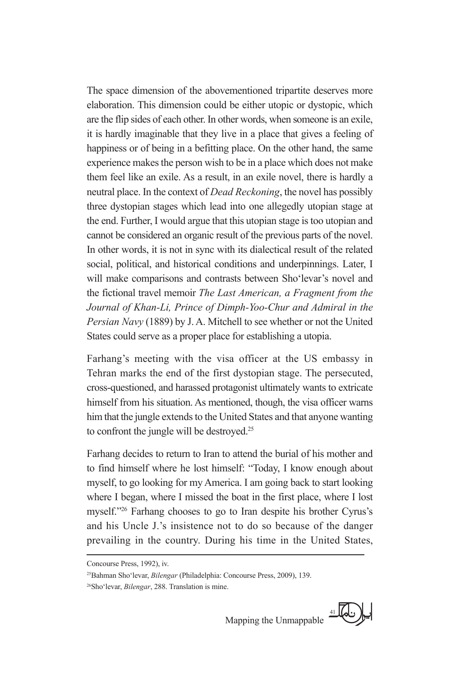The space dimension of the abovementioned tripartite deserves more elaboration. This dimension could be either utopic or dystopic, which are the flip sides of each other. In other words, when someone is an exile, it is hardly imaginable that they live in a place that gives a feeling of happiness or of being in a befitting place. On the other hand, the same experience makes the person wish to be in a place which does not make them feel like an exile. As a result, in an exile novel, there is hardly a neutral place. In the context of *Dead Reckoning*, the novel has possibly three dystopian stages which lead into one allegedly utopian stage at the end. Further, I would argue that this utopian stage is too utopian and cannot be considered an organic result of the previous parts of the novel. In other words, it is not in sync with its dialectical result of the related social, political, and historical conditions and underpinnings. Later, I will make comparisons and contrasts between Sho'levar's novel and the fictional travel memoir *The Last American, a Fragment from the Journal of Khan-Li, Prince of Dimph-Yoo-Chur and Admiral in the Persian Navy* (1889) by J. A. Mitchell to see whether or not the United States could serve as a proper place for establishing a utopia.

Farhang's meeting with the visa officer at the US embassy in Tehran marks the end of the first dystopian stage. The persecuted, cross-questioned, and harassed protagonist ultimately wants to extricate himself from his situation. As mentioned, though, the visa officer warns him that the jungle extends to the United States and that anyone wanting to confront the jungle will be destroyed.<sup>25</sup>

Farhang decides to return to Iran to attend the burial of his mother and to find himself where he lost himself: "Today, I know enough about myself, to go looking for my America. I am going back to start looking where I began, where I missed the boat in the first place, where I lost myself."26 Farhang chooses to go to Iran despite his brother Cyrus's and his Uncle J.'s insistence not to do so because of the danger prevailing in the country. During his time in the United States,



Concourse Press, 1992), iv.

<sup>25</sup>Bahman Sho'levar, *Bilengar* (Philadelphia: Concourse Press, 2009), 139.

<sup>26</sup>Sho'levar, *Bilengar*, 288. Translation is mine.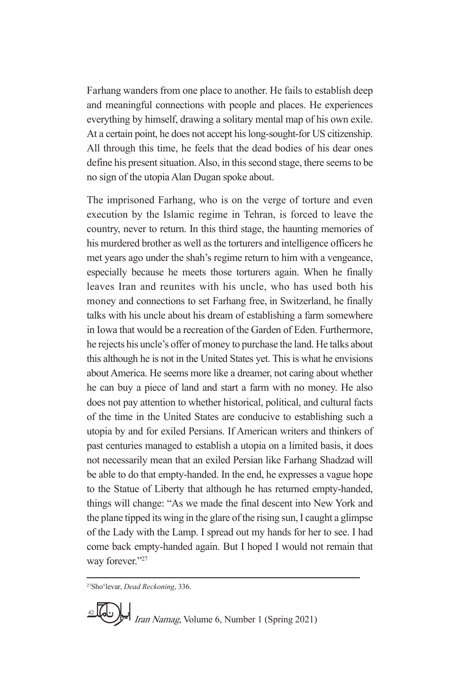Farhang wanders from one place to another. He fails to establish deep and meaningful connections with people and places. He experiences everything by himself, drawing a solitary mental map of his own exile. At a certain point, he does not accept his long-sought-for US citizenship. All through this time, he feels that the dead bodies of his dear ones define his present situation. Also, in this second stage, there seems to be no sign of the utopia Alan Dugan spoke about.

The imprisoned Farhang, who is on the verge of torture and even execution by the Islamic regime in Tehran, is forced to leave the country, never to return. In this third stage, the haunting memories of his murdered brother as well as the torturers and intelligence officers he met years ago under the shah's regime return to him with a vengeance, especially because he meets those torturers again. When he finally leaves Iran and reunites with his uncle, who has used both his money and connections to set Farhang free, in Switzerland, he finally talks with his uncle about his dream of establishing a farm somewhere in Iowa that would be a recreation of the Garden of Eden. Furthermore, he rejects his uncle's offer of money to purchase the land. He talks about this although he is not in the United States yet. This is what he envisions about America. He seems more like a dreamer, not caring about whether he can buy a piece of land and start a farm with no money. He also does not pay attention to whether historical, political, and cultural facts of the time in the United States are conducive to establishing such a utopia by and for exiled Persians. If American writers and thinkers of past centuries managed to establish a utopia on a limited basis, it does not necessarily mean that an exiled Persian like Farhang Shadzad will be able to do that empty-handed. In the end, he expresses a vague hope to the Statue of Liberty that although he has returned empty-handed, things will change: "As we made the final descent into New York and the plane tipped its wing in the glare of the rising sun, I caught a glimpse of the Lady with the Lamp. I spread out my hands for her to see. I had come back empty-handed again. But I hoped I would not remain that way forever."27

27Sho'levar, *Dead Reckoning*, 336.

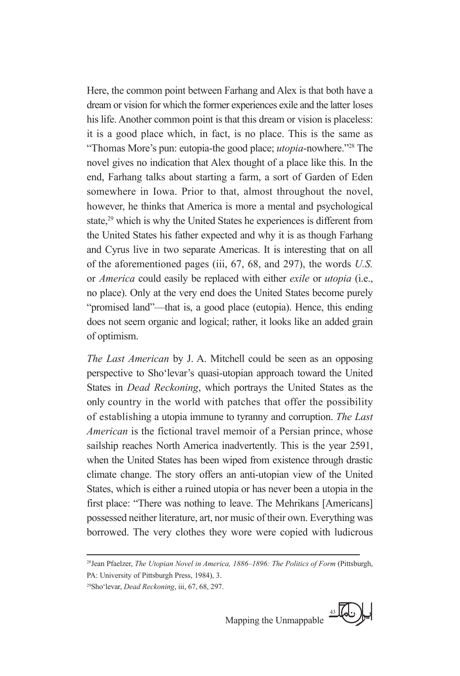Here, the common point between Farhang and Alex is that both have a dream or vision for which the former experiences exile and the latter loses his life. Another common point is that this dream or vision is placeless: it is a good place which, in fact, is no place. This is the same as "Thomas More's pun: eutopia-the good place; *utopia*-nowhere."28 The novel gives no indication that Alex thought of a place like this. In the end, Farhang talks about starting a farm, a sort of Garden of Eden somewhere in Iowa. Prior to that, almost throughout the novel, however, he thinks that America is more a mental and psychological state,<sup>29</sup> which is why the United States he experiences is different from the United States his father expected and why it is as though Farhang and Cyrus live in two separate Americas. It is interesting that on all of the aforementioned pages (iii, 67, 68, and 297), the words *U.S.* or *America* could easily be replaced with either *exile* or *utopia* (i.e., no place). Only at the very end does the United States become purely "promised land"—that is, a good place (eutopia). Hence, this ending does not seem organic and logical; rather, it looks like an added grain of optimism.

*The Last American* by J. A. Mitchell could be seen as an opposing perspective to Sho'levar's quasi-utopian approach toward the United States in *Dead Reckoning*, which portrays the United States as the only country in the world with patches that offer the possibility of establishing a utopia immune to tyranny and corruption. *The Last American* is the fictional travel memoir of a Persian prince, whose sailship reaches North America inadvertently. This is the year 2591, when the United States has been wiped from existence through drastic climate change. The story offers an anti-utopian view of the United States, which is either a ruined utopia or has never been a utopia in the first place: "There was nothing to leave. The Mehrikans [Americans] possessed neither literature, art, nor music of their own. Everything was borrowed. The very clothes they wore were copied with ludicrous

<sup>29</sup>Sho'levar, *Dead Reckoning*, iii, 67, 68, 297.



<sup>28</sup>Jean Pfaelzer, *The Utopian Novel in America, 1886–1896: The Politics of Form* (Pittsburgh, PA: University of Pittsburgh Press, 1984), 3.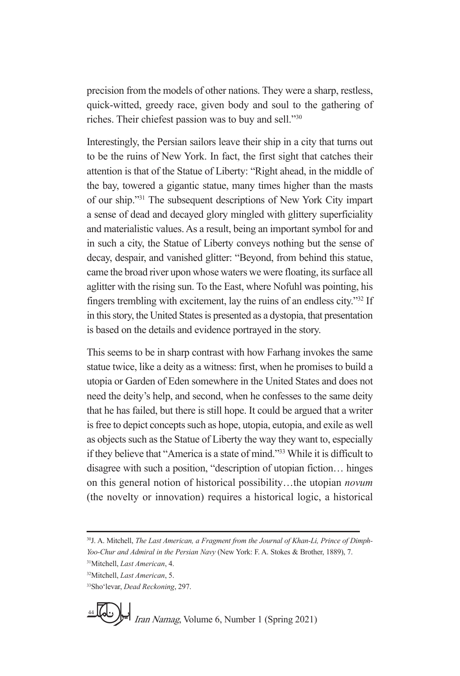precision from the models of other nations. They were a sharp, restless, quick-witted, greedy race, given body and soul to the gathering of riches. Their chiefest passion was to buy and sell."30

Interestingly, the Persian sailors leave their ship in a city that turns out to be the ruins of New York. In fact, the first sight that catches their attention is that of the Statue of Liberty: "Right ahead, in the middle of the bay, towered a gigantic statue, many times higher than the masts of our ship."31 The subsequent descriptions of New York City impart a sense of dead and decayed glory mingled with glittery superficiality and materialistic values. As a result, being an important symbol for and in such a city, the Statue of Liberty conveys nothing but the sense of decay, despair, and vanished glitter: "Beyond, from behind this statue, came the broad river upon whose waters we were floating, its surface all aglitter with the rising sun. To the East, where Nofuhl was pointing, his fingers trembling with excitement, lay the ruins of an endless city."32 If in this story, the United States is presented as a dystopia, that presentation is based on the details and evidence portrayed in the story.

This seems to be in sharp contrast with how Farhang invokes the same statue twice, like a deity as a witness: first, when he promises to build a utopia or Garden of Eden somewhere in the United States and does not need the deity's help, and second, when he confesses to the same deity that he has failed, but there is still hope. It could be argued that a writer is free to depict concepts such as hope, utopia, eutopia, and exile as well as objects such as the Statue of Liberty the way they want to, especially if they believe that "America is a state of mind."33 While it is difficult to disagree with such a position, "description of utopian fiction… hinges on this general notion of historical possibility…the utopian *novum* (the novelty or innovation) requires a historical logic, a historical

<sup>30</sup>J. A. Mitchell, *The Last American, a Fragment from the Journal of Khan-Li, Prince of Dimph-Yoo-Chur and Admiral in the Persian Navy* (New York: F. A. Stokes & Brother, 1889), 7.

<sup>31</sup>Mitchell, *Last American*, 4. 32Mitchell, *Last American*, 5.

<sup>33</sup>Sho'levar, *Dead Reckoning*, 297.